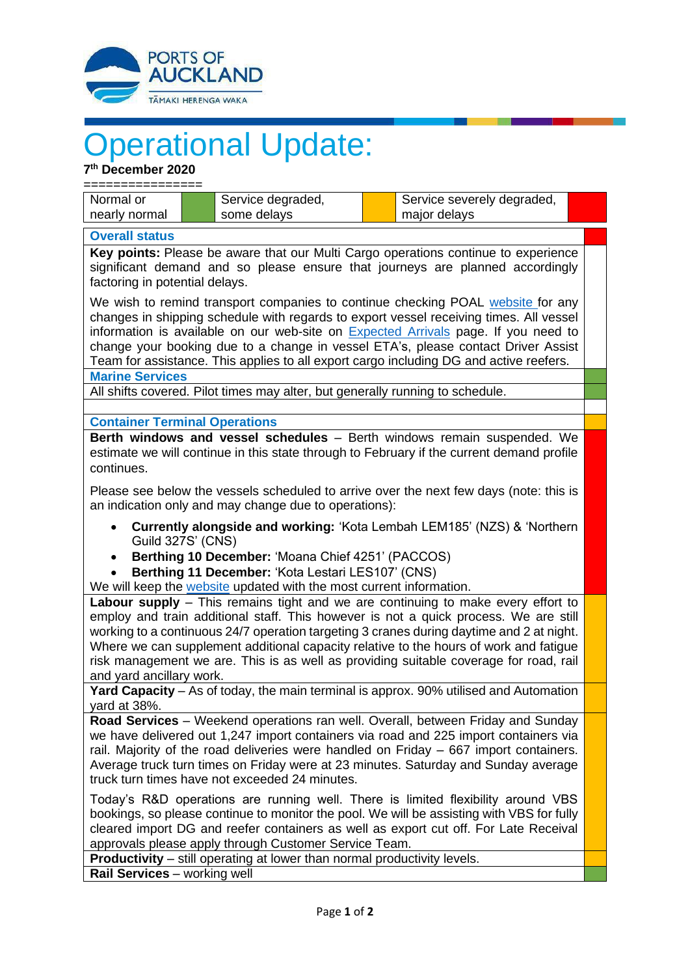

## Operational Update:

**7 th December 2020**

| " December zuzu                                                                                                                                                                                                                                                                                                                                                                                                                                                                    |  |                                  |  |                                            |  |
|------------------------------------------------------------------------------------------------------------------------------------------------------------------------------------------------------------------------------------------------------------------------------------------------------------------------------------------------------------------------------------------------------------------------------------------------------------------------------------|--|----------------------------------|--|--------------------------------------------|--|
| Normal or<br>nearly normal                                                                                                                                                                                                                                                                                                                                                                                                                                                         |  | Service degraded,<br>some delays |  | Service severely degraded,<br>major delays |  |
|                                                                                                                                                                                                                                                                                                                                                                                                                                                                                    |  |                                  |  |                                            |  |
| <b>Overall status</b>                                                                                                                                                                                                                                                                                                                                                                                                                                                              |  |                                  |  |                                            |  |
| Key points: Please be aware that our Multi Cargo operations continue to experience<br>significant demand and so please ensure that journeys are planned accordingly<br>factoring in potential delays.                                                                                                                                                                                                                                                                              |  |                                  |  |                                            |  |
| We wish to remind transport companies to continue checking POAL website for any<br>changes in shipping schedule with regards to export vessel receiving times. All vessel<br>information is available on our web-site on <b>Expected Arrivals</b> page. If you need to<br>change your booking due to a change in vessel ETA's, please contact Driver Assist<br>Team for assistance. This applies to all export cargo including DG and active reefers.                              |  |                                  |  |                                            |  |
| <b>Marine Services</b>                                                                                                                                                                                                                                                                                                                                                                                                                                                             |  |                                  |  |                                            |  |
| All shifts covered. Pilot times may alter, but generally running to schedule.                                                                                                                                                                                                                                                                                                                                                                                                      |  |                                  |  |                                            |  |
|                                                                                                                                                                                                                                                                                                                                                                                                                                                                                    |  |                                  |  |                                            |  |
| <b>Container Terminal Operations</b>                                                                                                                                                                                                                                                                                                                                                                                                                                               |  |                                  |  |                                            |  |
| Berth windows and vessel schedules - Berth windows remain suspended. We<br>estimate we will continue in this state through to February if the current demand profile<br>continues.                                                                                                                                                                                                                                                                                                 |  |                                  |  |                                            |  |
| Please see below the vessels scheduled to arrive over the next few days (note: this is<br>an indication only and may change due to operations):                                                                                                                                                                                                                                                                                                                                    |  |                                  |  |                                            |  |
| <b>Currently alongside and working: 'Kota Lembah LEM185' (NZS) &amp; 'Northern</b><br><b>Guild 327S' (CNS)</b>                                                                                                                                                                                                                                                                                                                                                                     |  |                                  |  |                                            |  |
| Berthing 10 December: 'Moana Chief 4251' (PACCOS)<br>$\bullet$<br>Berthing 11 December: 'Kota Lestari LES107' (CNS)                                                                                                                                                                                                                                                                                                                                                                |  |                                  |  |                                            |  |
| We will keep the website updated with the most current information.                                                                                                                                                                                                                                                                                                                                                                                                                |  |                                  |  |                                            |  |
| Labour supply - This remains tight and we are continuing to make every effort to<br>employ and train additional staff. This however is not a quick process. We are still<br>working to a continuous 24/7 operation targeting 3 cranes during daytime and 2 at night.<br>Where we can supplement additional capacity relative to the hours of work and fatigue<br>risk management we are. This is as well as providing suitable coverage for road, rail<br>and yard ancillary work. |  |                                  |  |                                            |  |
| Yard Capacity - As of today, the main terminal is approx. 90% utilised and Automation<br>yard at 38%.                                                                                                                                                                                                                                                                                                                                                                              |  |                                  |  |                                            |  |
| Road Services - Weekend operations ran well. Overall, between Friday and Sunday                                                                                                                                                                                                                                                                                                                                                                                                    |  |                                  |  |                                            |  |
| we have delivered out 1,247 import containers via road and 225 import containers via                                                                                                                                                                                                                                                                                                                                                                                               |  |                                  |  |                                            |  |

we have delivered out 1,247 import containers via road and 225 import containers via rail. Majority of the road deliveries were handled on Friday – 667 import containers. Average truck turn times on Friday were at 23 minutes. Saturday and Sunday average truck turn times have not exceeded 24 minutes.

Today's R&D operations are running well. There is limited flexibility around VBS bookings, so please continue to monitor the pool. We will be assisting with VBS for fully cleared import DG and reefer containers as well as export cut off. For Late Receival approvals please apply through Customer Service Team.

**Productivity** – still operating at lower than normal productivity levels.

**Rail Services** – working well